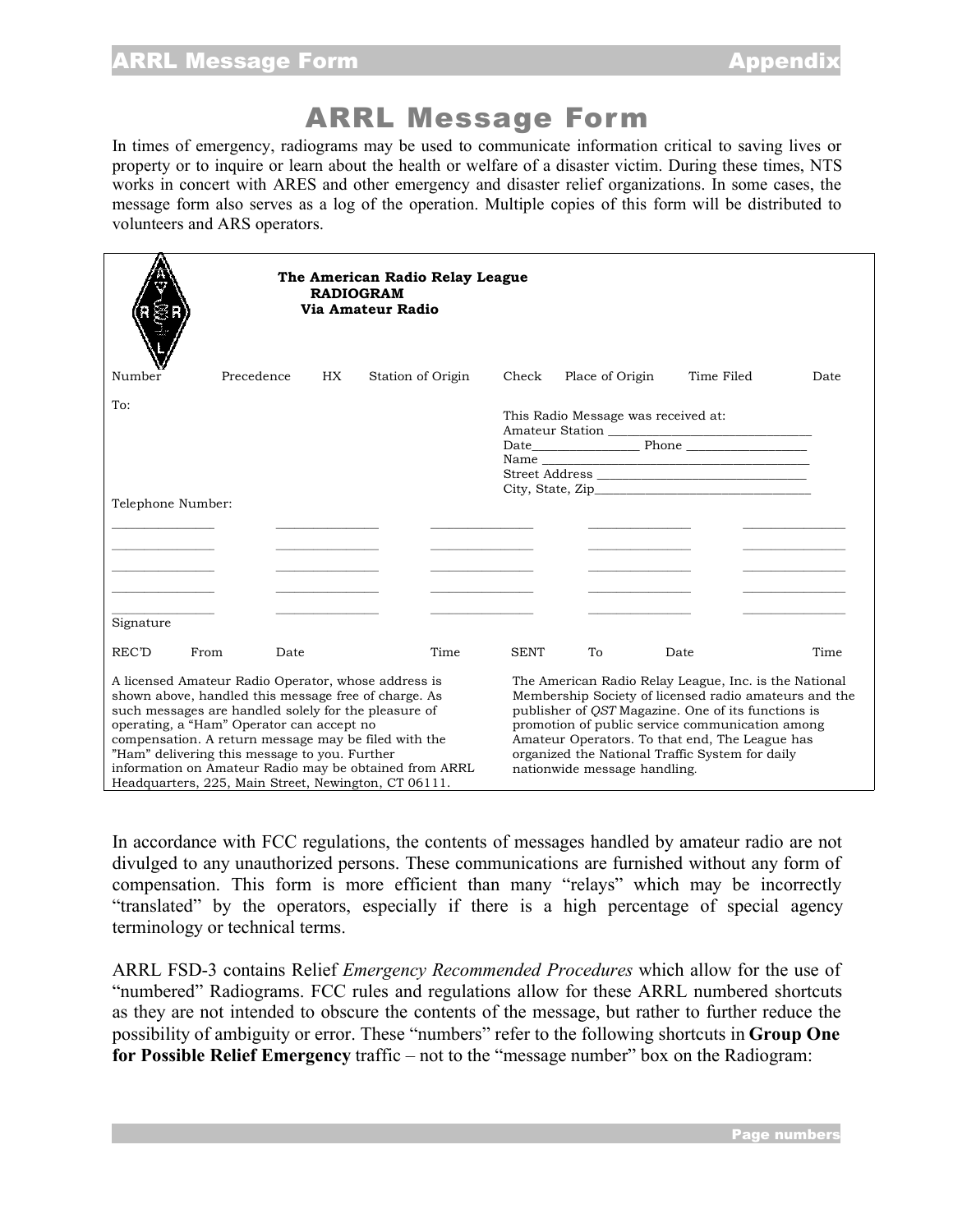## ARRL Message Form

In times of emergency, radiograms may be used to communicate information critical to saving lives or property or to inquire or learn about the health or welfare of a disaster victim. During these times, NTS works in concert with ARES and other emergency and disaster relief organizations. In some cases, the message form also serves as a log of the operation. Multiple copies of this form will be distributed to volunteers and ARS operators.

|                                                                                                                                                                                                                                                                                                                                                                                                                                             |              | <b>RADIOGRAM</b> | The American Radio Relay League<br>Via Amateur Radio |                                                                                                                                                                                                                                                                                                                                                              |                                     |      |            |      |
|---------------------------------------------------------------------------------------------------------------------------------------------------------------------------------------------------------------------------------------------------------------------------------------------------------------------------------------------------------------------------------------------------------------------------------------------|--------------|------------------|------------------------------------------------------|--------------------------------------------------------------------------------------------------------------------------------------------------------------------------------------------------------------------------------------------------------------------------------------------------------------------------------------------------------------|-------------------------------------|------|------------|------|
| Number                                                                                                                                                                                                                                                                                                                                                                                                                                      | Precedence   | HX.              | Station of Origin                                    | Check                                                                                                                                                                                                                                                                                                                                                        | Place of Origin                     |      | Time Filed | Date |
| To:<br>Telephone Number:                                                                                                                                                                                                                                                                                                                                                                                                                    |              |                  |                                                      |                                                                                                                                                                                                                                                                                                                                                              | This Radio Message was received at: |      |            |      |
|                                                                                                                                                                                                                                                                                                                                                                                                                                             |              |                  |                                                      |                                                                                                                                                                                                                                                                                                                                                              |                                     |      |            |      |
| Signature                                                                                                                                                                                                                                                                                                                                                                                                                                   |              |                  |                                                      |                                                                                                                                                                                                                                                                                                                                                              |                                     |      |            |      |
| REC'D                                                                                                                                                                                                                                                                                                                                                                                                                                       | From<br>Date |                  | Time                                                 | <b>SENT</b>                                                                                                                                                                                                                                                                                                                                                  | To                                  | Date |            | Time |
| A licensed Amateur Radio Operator, whose address is<br>shown above, handled this message free of charge. As<br>such messages are handled solely for the pleasure of<br>operating, a "Ham" Operator can accept no<br>compensation. A return message may be filed with the<br>"Ham" delivering this message to you. Further<br>information on Amateur Radio may be obtained from ARRL<br>Headquarters, 225, Main Street, Newington, CT 06111. |              |                  |                                                      | The American Radio Relay League, Inc. is the National<br>Membership Society of licensed radio amateurs and the<br>publisher of QST Magazine. One of its functions is<br>promotion of public service communication among<br>Amateur Operators. To that end, The League has<br>organized the National Traffic System for daily<br>nationwide message handling. |                                     |      |            |      |

In accordance with FCC regulations, the contents of messages handled by amateur radio are not divulged to any unauthorized persons. These communications are furnished without any form of compensation. This form is more efficient than many "relays" which may be incorrectly "translated" by the operators, especially if there is a high percentage of special agency terminology or technical terms.

ARRL FSD-3 contains Relief *Emergency Recommended Procedures* which allow for the use of "numbered" Radiograms. FCC rules and regulations allow for these ARRL numbered shortcuts as they are not intended to obscure the contents of the message, but rather to further reduce the possibility of ambiguity or error. These "numbers" refer to the following shortcuts in **Group One for Possible Relief Emergency** traffic – not to the "message number" box on the Radiogram: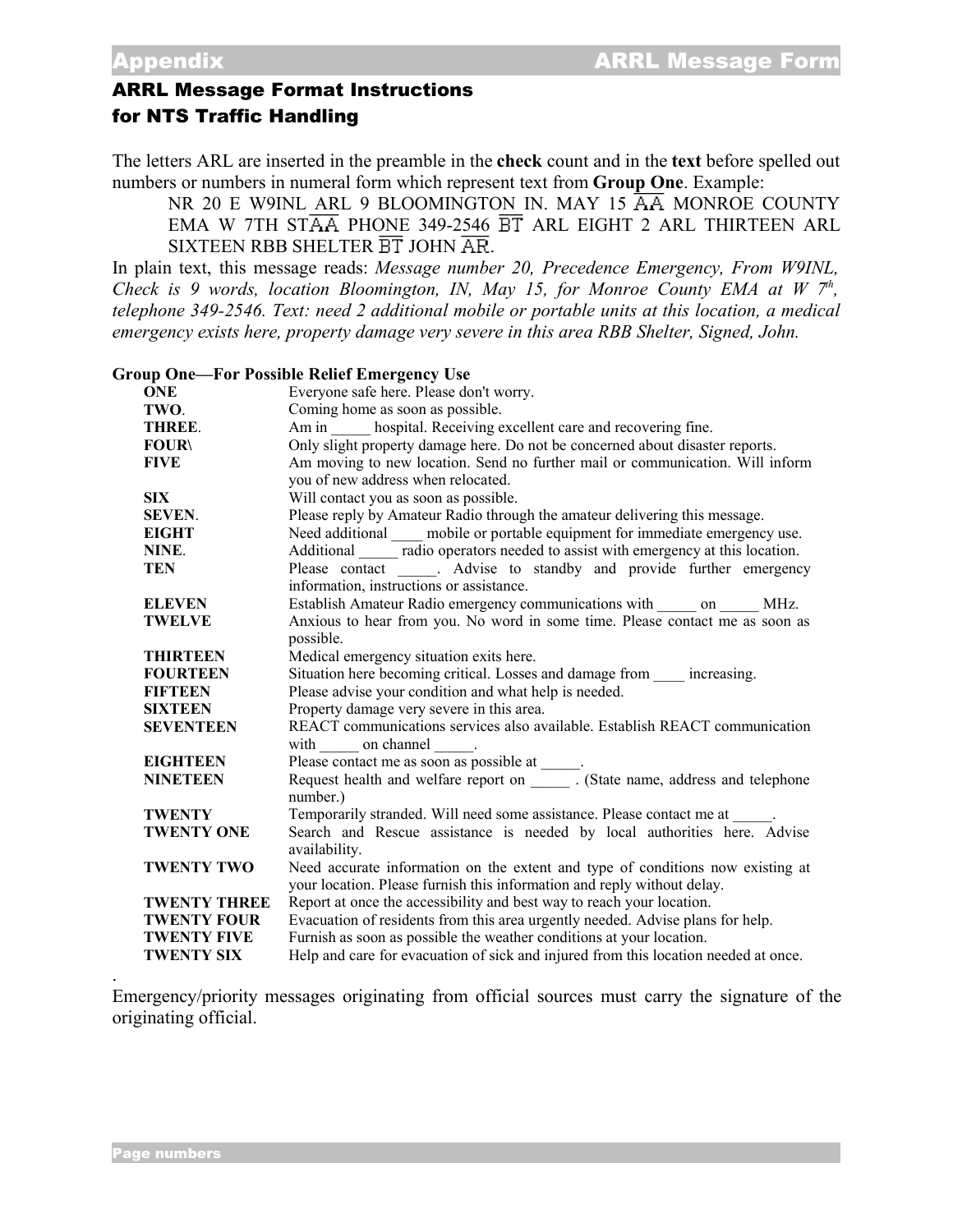## ARRL Message Format Instructions for NTS Traffic Handling

The letters ARL are inserted in the preamble in the **check** count and in the **text** before spelled out numbers or numbers in numeral form which represent text from **Group One**. Example:

NR 20 E W9INL ARL 9 BLOOMINGTON IN. MAY 15  $\overline{AA}$  MONROE COUNTY EMA W 7TH ST $\overline{AA}$  PHONE 349-2546  $\overline{BT}$  ARL EIGHT 2 ARL THIRTEEN ARL SIXTEEN RBB SHELTER  $\overline{\text{BT}}$  JOHN  $\overline{\text{AR}}$ .

In plain text, this message reads: *Message number 20, Precedence Emergency, From W9INL, Check is 9 words, location Bloomington, IN, May 15, for Monroe County EMA at W 7 th , telephone 349-2546. Text: need 2 additional mobile or portable units at this location, a medical emergency exists here, property damage very severe in this area RBB Shelter, Signed, John.*

**Group One—For Possible Relief Emergency Use**

| <b>ONE</b>          | Everyone safe here. Please don't worry.                                             |
|---------------------|-------------------------------------------------------------------------------------|
| TWO.                | Coming home as soon as possible.                                                    |
| THREE.              | Am in ______ hospital. Receiving excellent care and recovering fine.                |
| <b>FOUR\</b>        | Only slight property damage here. Do not be concerned about disaster reports.       |
| <b>FIVE</b>         | Am moving to new location. Send no further mail or communication. Will inform       |
|                     | you of new address when relocated.                                                  |
| <b>SIX</b>          | Will contact you as soon as possible.                                               |
| <b>SEVEN.</b>       | Please reply by Amateur Radio through the amateur delivering this message.          |
| <b>EIGHT</b>        | Need additional mobile or portable equipment for immediate emergency use.           |
| NINE.               | Additional radio operators needed to assist with emergency at this location.        |
| <b>TEN</b>          | Please contact ______. Advise to standby and provide further emergency              |
|                     | information, instructions or assistance.                                            |
| <b>ELEVEN</b>       | Establish Amateur Radio emergency communications with on MHz.                       |
| <b>TWELVE</b>       | Anxious to hear from you. No word in some time. Please contact me as soon as        |
|                     | possible.                                                                           |
| <b>THIRTEEN</b>     | Medical emergency situation exits here.                                             |
| <b>FOURTEEN</b>     | Situation here becoming critical. Losses and damage from _____ increasing.          |
| <b>FIFTEEN</b>      | Please advise your condition and what help is needed.                               |
| <b>SIXTEEN</b>      | Property damage very severe in this area.                                           |
| <b>SEVENTEEN</b>    | REACT communications services also available. Establish REACT communication         |
|                     | with on channel .                                                                   |
| <b>EIGHTEEN</b>     | Please contact me as soon as possible at _____.                                     |
| <b>NINETEEN</b>     | Request health and welfare report on _______. (State name, address and telephone    |
|                     | number.)                                                                            |
| <b>TWENTY</b>       | Temporarily stranded. Will need some assistance. Please contact me at _____.        |
| <b>TWENTY ONE</b>   | Search and Rescue assistance is needed by local authorities here. Advise            |
|                     | availability.                                                                       |
| <b>TWENTY TWO</b>   | Need accurate information on the extent and type of conditions now existing at      |
|                     | your location. Please furnish this information and reply without delay.             |
| <b>TWENTY THREE</b> | Report at once the accessibility and best way to reach your location.               |
| <b>TWENTY FOUR</b>  | Evacuation of residents from this area urgently needed. Advise plans for help.      |
| <b>TWENTY FIVE</b>  | Furnish as soon as possible the weather conditions at your location.                |
| <b>TWENTY SIX</b>   | Help and care for evacuation of sick and injured from this location needed at once. |

Emergency/priority messages originating from official sources must carry the signature of the originating official.

.